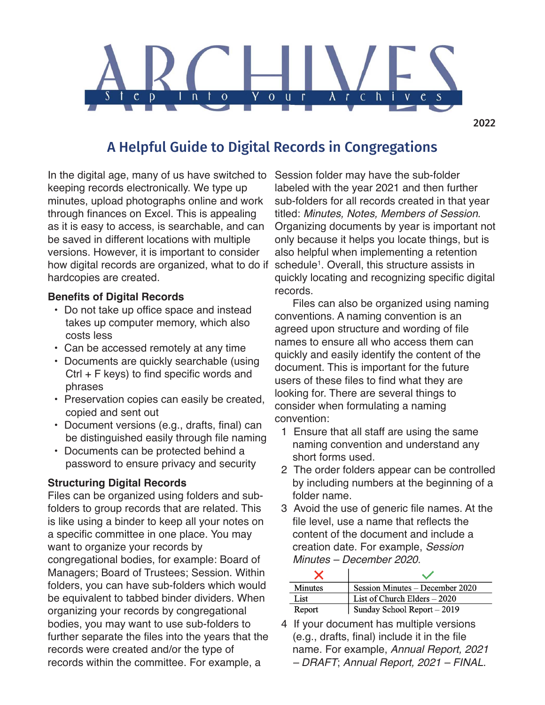

# A Helpful Guide to Digital Records in Congregations

In the digital age, many of us have switched to keeping records electronically. We type up minutes, upload photographs online and work through finances on Excel. This is appealing as it is easy to access, is searchable, and can be saved in different locations with multiple versions. However, it is important to consider how digital records are organized, what to do if hardcopies are created.

#### **Benefits of Digital Records**

- Do not take up office space and instead takes up computer memory, which also costs less
- Can be accessed remotely at any time
- Documents are quickly searchable (using Ctrl + F keys) to find specific words and phrases
- Preservation copies can easily be created, copied and sent out
- Document versions (e.g., drafts, final) can be distinguished easily through file naming
- Documents can be protected behind a password to ensure privacy and security

### **Structuring Digital Records**

Files can be organized using folders and subfolders to group records that are related. This is like using a binder to keep all your notes on a specific committee in one place. You may want to organize your records by congregational bodies, for example: Board of Managers; Board of Trustees; Session. Within folders, you can have sub-folders which would be equivalent to tabbed binder dividers. When organizing your records by congregational bodies, you may want to use sub-folders to further separate the files into the years that the records were created and/or the type of records within the committee. For example, a

Session folder may have the sub-folder labeled with the year 2021 and then further sub-folders for all records created in that year titled: Minutes, Notes, Members of Session. Organizing documents by year is important not only because it helps you locate things, but is also helpful when implementing a retention schedule<sup>1</sup>. Overall, this structure assists in quickly locating and recognizing specific digital records.

 Files can also be organized using naming conventions. A naming convention is an agreed upon structure and wording of file names to ensure all who access them can quickly and easily identify the content of the document. This is important for the future users of these files to find what they are looking for. There are several things to consider when formulating a naming convention:

- 1 Ensure that all staff are using the same naming convention and understand any short forms used.
- 2 The order folders appear can be controlled by including numbers at the beginning of a folder name.
- 3 Avoid the use of generic file names. At the file level, use a name that reflects the content of the document and include a creation date. For example, Session Minutes – December 2020.

| Minutes | Session Minutes – December 2020 |
|---------|---------------------------------|
| List    | List of Church Elders - 2020    |
| Report  | Sunday School Report - 2019     |

4 If your document has multiple versions (e.g., drafts, final) include it in the file name. For example, Annual Report, 2021 – DRAFT; Annual Report, 2021 – FINAL.